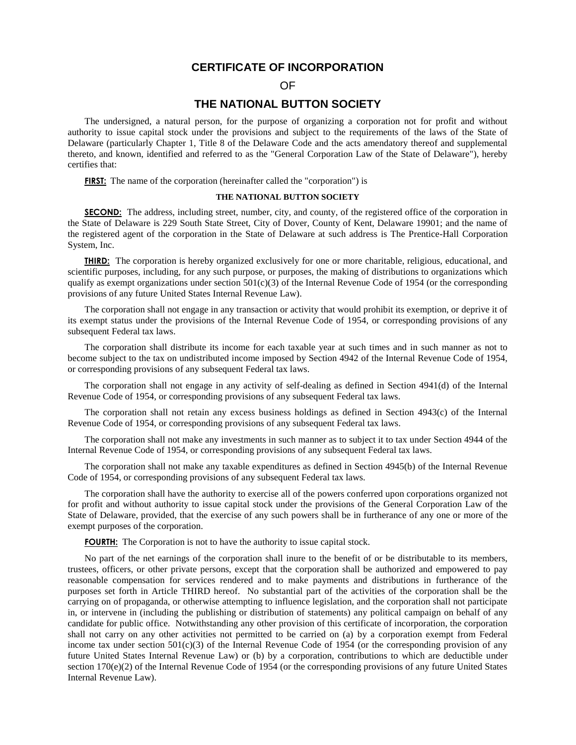# **CERTIFICATE OF INCORPORATION**

## OF

# **THE NATIONAL BUTTON SOCIETY**

The undersigned, a natural person, for the purpose of organizing a corporation not for profit and without authority to issue capital stock under the provisions and subject to the requirements of the laws of the State of Delaware (particularly Chapter 1, Title 8 of the Delaware Code and the acts amendatory thereof and supplemental thereto, and known, identified and referred to as the "General Corporation Law of the State of Delaware"), hereby certifies that:

**FIRST:** The name of the corporation (hereinafter called the "corporation") is

### **THE NATIONAL BUTTON SOCIETY**

**SECOND:** The address, including street, number, city, and county, of the registered office of the corporation in the State of Delaware is 229 South State Street, City of Dover, County of Kent, Delaware 19901; and the name of the registered agent of the corporation in the State of Delaware at such address is The Prentice-Hall Corporation System, Inc.

**THIRD:** The corporation is hereby organized exclusively for one or more charitable, religious, educational, and scientific purposes, including, for any such purpose, or purposes, the making of distributions to organizations which qualify as exempt organizations under section  $501(c)(3)$  of the Internal Revenue Code of 1954 (or the corresponding provisions of any future United States Internal Revenue Law).

The corporation shall not engage in any transaction or activity that would prohibit its exemption, or deprive it of its exempt status under the provisions of the Internal Revenue Code of 1954, or corresponding provisions of any subsequent Federal tax laws.

The corporation shall distribute its income for each taxable year at such times and in such manner as not to become subject to the tax on undistributed income imposed by Section 4942 of the Internal Revenue Code of 1954, or corresponding provisions of any subsequent Federal tax laws.

The corporation shall not engage in any activity of self-dealing as defined in Section 4941(d) of the Internal Revenue Code of 1954, or corresponding provisions of any subsequent Federal tax laws.

The corporation shall not retain any excess business holdings as defined in Section 4943(c) of the Internal Revenue Code of 1954, or corresponding provisions of any subsequent Federal tax laws.

The corporation shall not make any investments in such manner as to subject it to tax under Section 4944 of the Internal Revenue Code of 1954, or corresponding provisions of any subsequent Federal tax laws.

The corporation shall not make any taxable expenditures as defined in Section 4945(b) of the Internal Revenue Code of 1954, or corresponding provisions of any subsequent Federal tax laws.

The corporation shall have the authority to exercise all of the powers conferred upon corporations organized not for profit and without authority to issue capital stock under the provisions of the General Corporation Law of the State of Delaware, provided, that the exercise of any such powers shall be in furtherance of any one or more of the exempt purposes of the corporation.

**FOURTH:** The Corporation is not to have the authority to issue capital stock.

No part of the net earnings of the corporation shall inure to the benefit of or be distributable to its members, trustees, officers, or other private persons, except that the corporation shall be authorized and empowered to pay reasonable compensation for services rendered and to make payments and distributions in furtherance of the purposes set forth in Article THIRD hereof. No substantial part of the activities of the corporation shall be the carrying on of propaganda, or otherwise attempting to influence legislation, and the corporation shall not participate in, or intervene in (including the publishing or distribution of statements) any political campaign on behalf of any candidate for public office. Notwithstanding any other provision of this certificate of incorporation, the corporation shall not carry on any other activities not permitted to be carried on (a) by a corporation exempt from Federal income tax under section  $501(c)(3)$  of the Internal Revenue Code of 1954 (or the corresponding provision of any future United States Internal Revenue Law) or (b) by a corporation, contributions to which are deductible under section 170(e)(2) of the Internal Revenue Code of 1954 (or the corresponding provisions of any future United States Internal Revenue Law).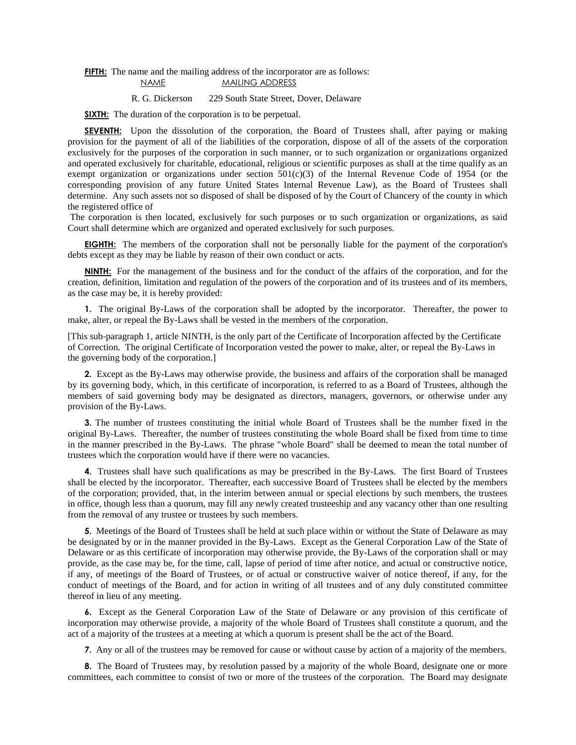#### **FIFTH:** The name and the mailing address of the incorporator are as follows: NAME MAILING ADDRESS

### R. G. Dickerson 229 South State Street, Dover, Delaware

**SIXTH:** The duration of the corporation is to be perpetual.

**SEVENTH:** Upon the dissolution of the corporation, the Board of Trustees shall, after paying or making provision for the payment of all of the liabilities of the corporation, dispose of all of the assets of the corporation exclusively for the purposes of the corporation in such manner, or to such organization or organizations organized and operated exclusively for charitable, educational, religious or scientific purposes as shall at the time qualify as an exempt organization or organizations under section  $501(c)(3)$  of the Internal Revenue Code of 1954 (or the corresponding provision of any future United States Internal Revenue Law), as the Board of Trustees shall determine. Any such assets not so disposed of shall be disposed of by the Court of Chancery of the county in which the registered office of

The corporation is then located, exclusively for such purposes or to such organization or organizations, as said Court shall determine which are organized and operated exclusively for such purposes.

**EIGHTH:** The members of the corporation shall not be personally liable for the payment of the corporation's debts except as they may be liable by reason of their own conduct or acts.

**NINTH:** For the management of the business and for the conduct of the affairs of the corporation, and for the creation, definition, limitation and regulation of the powers of the corporation and of its trustees and of its members, as the case may be, it is hereby provided:

**1.** The original By-Laws of the corporation shall be adopted by the incorporator. Thereafter, the power to make, alter, or repeal the By-Laws shall be vested in the members of the corporation.

[This sub-paragraph 1, article NINTH, is the only part of the Certificate of Incorporation affected by the Certificate of Correction. The original Certificate of Incorporation vested the power to make, alter, or repeal the By-Laws in the governing body of the corporation.]

**2.** Except as the By-Laws may otherwise provide, the business and affairs of the corporation shall be managed by its governing body, which, in this certificate of incorporation, is referred to as a Board of Trustees, although the members of said governing body may be designated as directors, managers, governors, or otherwise under any provision of the By-Laws.

**3.** The number of trustees constituting the initial whole Board of Trustees shall be the number fixed in the original By-Laws. Thereafter, the number of trustees constituting the whole Board shall be fixed from time to time in the manner prescribed in the By-Laws. The phrase "whole Board" shall be deemed to mean the total number of trustees which the corporation would have if there were no vacancies.

**4.** Trustees shall have such qualifications as may be prescribed in the By-Laws. The first Board of Trustees shall be elected by the incorporator. Thereafter, each successive Board of Trustees shall be elected by the members of the corporation; provided, that, in the interim between annual or special elections by such members, the trustees in office, though less than a quorum, may fill any newly created trusteeship and any vacancy other than one resulting from the removal of any trustee or trustees by such members.

**5.** Meetings of the Board of Trustees shall be held at such place within or without the State of Delaware as may be designated by or in the manner provided in the By-Laws. Except as the General Corporation Law of the State of Delaware or as this certificate of incorporation may otherwise provide, the By-Laws of the corporation shall or may provide, as the case may be, for the time, call, lapse of period of time after notice, and actual or constructive notice, if any, of meetings of the Board of Trustees, or of actual or constructive waiver of notice thereof, if any, for the conduct of meetings of the Board, and for action in writing of all trustees and of any duly constituted committee thereof in lieu of any meeting.

**6.** Except as the General Corporation Law of the State of Delaware or any provision of this certificate of incorporation may otherwise provide, a majority of the whole Board of Trustees shall constitute a quorum, and the act of a majority of the trustees at a meeting at which a quorum is present shall be the act of the Board.

**7.** Any or all of the trustees may be removed for cause or without cause by action of a majority of the members.

**8.** The Board of Trustees may, by resolution passed by a majority of the whole Board, designate one or more committees, each committee to consist of two or more of the trustees of the corporation. The Board may designate